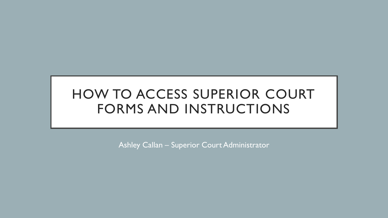# HOW TO ACCESS SUPERIOR COURT FORMS AND INSTRUCTIONS

Ashley Callan – Superior Court Administrator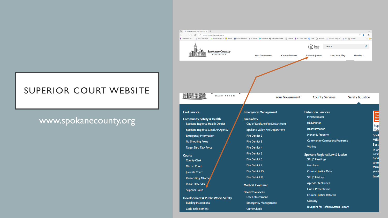

# www.spokanecounty.org

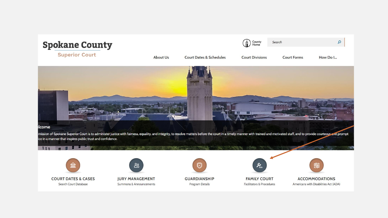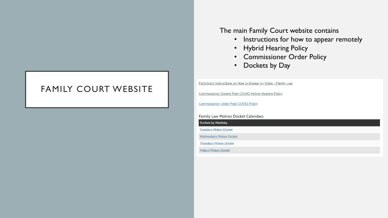### FAMILY COURT WEBSITE

The main Family Court website contains

- Instructions for how to appear remotely
- Hybrid Hearing Policy
- Commissioner Order Policy
- Dockets by Day

Participant Instructions on How to Appear by Video - Family Law

**Commissioner Docket Post COVID Hybrid Hearing Policy** 

**Commissioner Order Post COVID Policy** 

**Family Law Motion Docket Calendars** 

Dockets by Weekday

**Tuesday's Motion Docket** 

**Wednesday's Motion Docket** 

**Thursday's Motion Docket** 

**Friday's Motion Docket**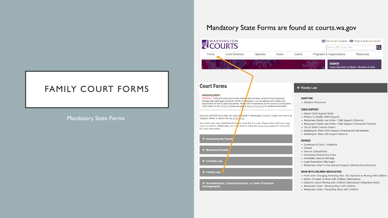#### Mandatory State Forms are found at courts.wa.gov



# FAMILY COURT FORMS

#### Mandatory State Forms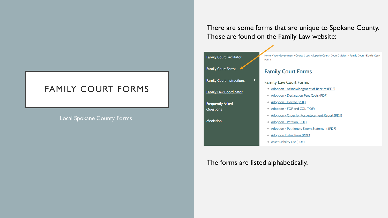# FAMILY COURT FORMS

#### Local Spokane County Forms

There are some forms that are unique to Spokane County. Those are found on the Family Law website:



The forms are listed alphabetically.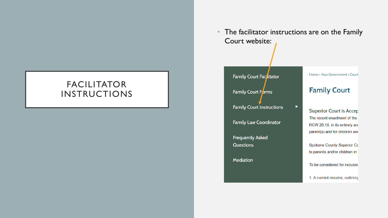# **FACILITATOR INSTRUCTIONS**

The facilitator instructions are on the Family  $\bullet$ Court website:

 $\blacktriangleright$ 

Family Court Facilitator

Family Court Forms

**Family Court Instructions** 

**Family Law Coordinator** 

**Frequently Asked** Questions

Mediation

Home > Your Government > Court

#### **Family Court**

**Superior Court is Accep** The recent enactment of the RCW 26.10, in its entirety and parent(s) and for children und

Spokane County Superior Cc to parents and/or children in I

To be considered for inclusion

1. A current resume, outlining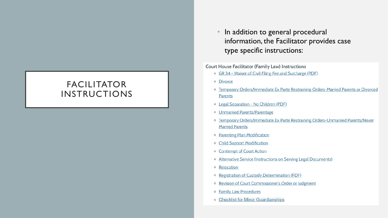# **FACILITATOR INSTRUCTIONS**

In addition to general procedural information, the Facilitator provides case type specific instructions:

#### **Court House Facilitator (Family Law) Instructions**

- o GR 34 Waiver of Civil Filing Fee and Surcharge (PDF)
- o Divorce
- o Temporary Orders/Immediate Ex Parte Restraining Orders-Married Parents or Divorced **Parents**
- o Legal Separation No Children (PDF)
- o Unmarried Parents/Parentage
- o Temporary Orders/Immediate Ex Parte Restraining Orders-Unmarried Parents/Never **Married Parents**
- o Parenting Plan Modification
- o Child Support Modification
- o Contempt of Court Action
- o Alternative Service (Instructions on Serving Legal Documents)
- **o** Relocation
- o Registration of Custody Determination (PDF)
- o Revision of Court Commissioner's Order or Judgment
- o Family Law Procedures
- o Checklist for Minor Guardianships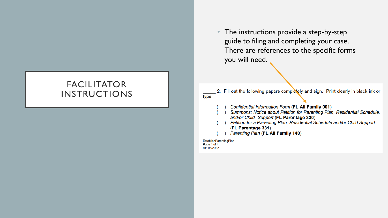### The instructions provide a step-by-step guide to filing and completing your case. There are references to the specific forms you will need.

# FACILITATOR INSTRUCTIONS

2. Fill out the following papers completely and sign. Print clearly in black ink or type.

- Confidential Information Form (FL All Family 001)
- Summons: Notice about Petition for Parenting Plan, Residential Schedule, and/or Child Support (FL Parentage 330)
- Petition for a Parenting Plan, Residential Schedule and/or Child Support (FL Parentage 331)
- Parenting Plan (FL All Family 140)

EstablishParentingPlan Page 1 of 4 RE 03/2022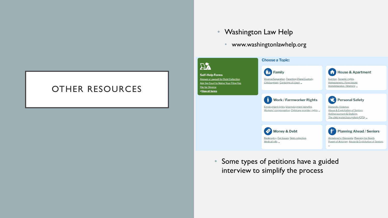# OTHER RESOURCES

#### • Washington Law Help

• www.washingtonlawhelp.org



• Some types of petitions have a guided interview to simplify the process